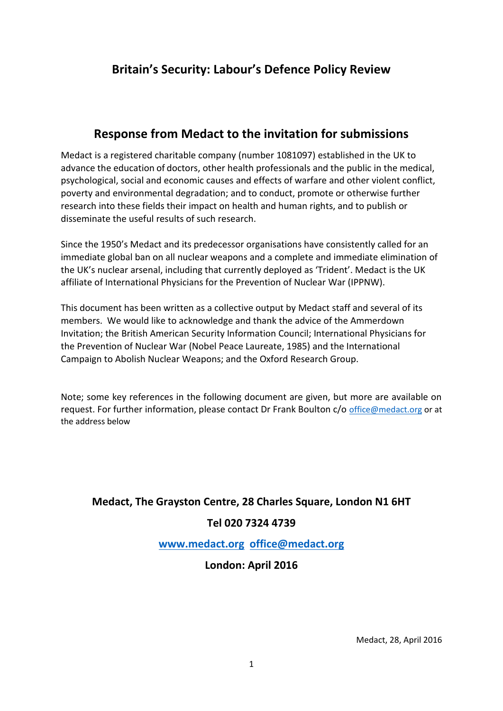# **Britain's Security: Labour's Defence Policy Review**

# **Response from Medact to the invitation for submissions**

Medact is a registered charitable company (number 1081097) established in the UK to advance the education of doctors, other health professionals and the public in the medical, psychological, social and economic causes and effects of warfare and other violent conflict, poverty and environmental degradation; and to conduct, promote or otherwise further research into these fields their impact on health and human rights, and to publish or disseminate the useful results of such research.

Since the 1950's Medact and its predecessor organisations have consistently called for an immediate global ban on all nuclear weapons and a complete and immediate elimination of the UK's nuclear arsenal, including that currently deployed as 'Trident'. Medact is the UK affiliate of International Physicians for the Prevention of Nuclear War (IPPNW).

This document has been written as a collective output by Medact staff and several of its members. We would like to acknowledge and thank the advice of the Ammerdown Invitation; the British American Security Information Council; International Physicians for the Prevention of Nuclear War (Nobel Peace Laureate, 1985) and the International Campaign to Abolish Nuclear Weapons; and the Oxford Research Group.

Note; some key references in the following document are given, but more are available on request. For further information, please contact Dr Frank Boulton c/o [office@medact.org](mailto:office@medact.org) or at the address below

# **Medact, The Grayston Centre, 28 Charles Square, London N1 6HT**

## **Tel 020 7324 4739**

**[www.medact.org](http://www.medact.org/) [office@medact.org](mailto:office@medact.org)**

## **London: April 2016**

Medact, 28, April 2016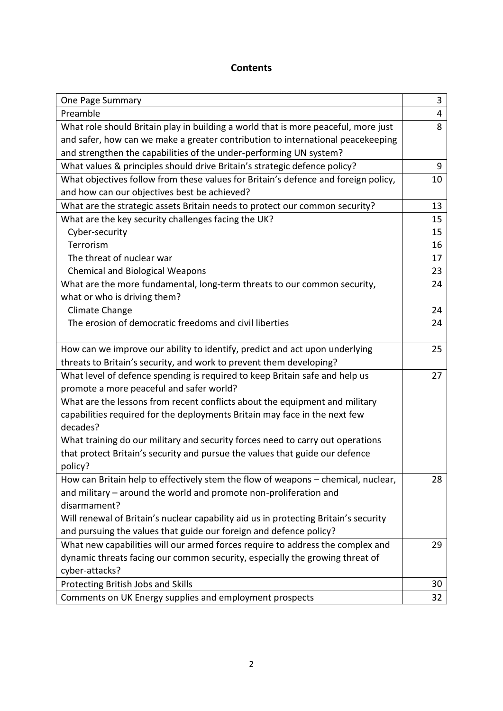#### **Contents**

| One Page Summary                                                                     | 3  |
|--------------------------------------------------------------------------------------|----|
| Preamble                                                                             | 4  |
| What role should Britain play in building a world that is more peaceful, more just   | 8  |
| and safer, how can we make a greater contribution to international peacekeeping      |    |
| and strengthen the capabilities of the under-performing UN system?                   |    |
| What values & principles should drive Britain's strategic defence policy?            | 9  |
| What objectives follow from these values for Britain's defence and foreign policy,   | 10 |
| and how can our objectives best be achieved?                                         |    |
| What are the strategic assets Britain needs to protect our common security?          | 13 |
| What are the key security challenges facing the UK?                                  | 15 |
| Cyber-security                                                                       | 15 |
| Terrorism                                                                            | 16 |
| The threat of nuclear war                                                            | 17 |
| <b>Chemical and Biological Weapons</b>                                               | 23 |
| What are the more fundamental, long-term threats to our common security,             | 24 |
| what or who is driving them?                                                         |    |
| Climate Change                                                                       | 24 |
| The erosion of democratic freedoms and civil liberties                               | 24 |
|                                                                                      |    |
| How can we improve our ability to identify, predict and act upon underlying          | 25 |
| threats to Britain's security, and work to prevent them developing?                  |    |
| What level of defence spending is required to keep Britain safe and help us          | 27 |
| promote a more peaceful and safer world?                                             |    |
| What are the lessons from recent conflicts about the equipment and military          |    |
| capabilities required for the deployments Britain may face in the next few           |    |
| decades?                                                                             |    |
| What training do our military and security forces need to carry out operations       |    |
| that protect Britain's security and pursue the values that guide our defence         |    |
| policy?                                                                              |    |
| How can Britain help to effectively stem the flow of weapons - chemical, nuclear,    | 28 |
| and military - around the world and promote non-proliferation and                    |    |
| disarmament?                                                                         |    |
| Will renewal of Britain's nuclear capability aid us in protecting Britain's security |    |
| and pursuing the values that guide our foreign and defence policy?                   |    |
| What new capabilities will our armed forces require to address the complex and       | 29 |
| dynamic threats facing our common security, especially the growing threat of         |    |
| cyber-attacks?                                                                       |    |
| Protecting British Jobs and Skills                                                   | 30 |
| Comments on UK Energy supplies and employment prospects                              | 32 |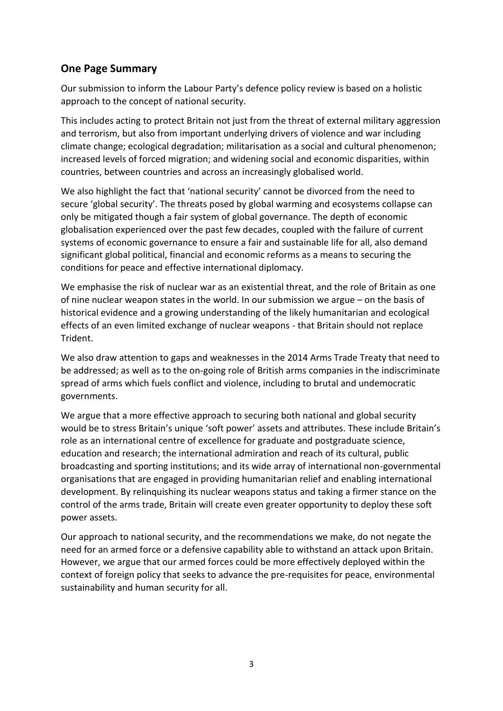## **One Page Summary**

Our submission to inform the Labour Party's defence policy review is based on a holistic approach to the concept of national security.

This includes acting to protect Britain not just from the threat of external military aggression and terrorism, but also from important underlying drivers of violence and war including climate change; ecological degradation; militarisation as a social and cultural phenomenon; increased levels of forced migration; and widening social and economic disparities, within countries, between countries and across an increasingly globalised world.

We also highlight the fact that 'national security' cannot be divorced from the need to secure 'global security'. The threats posed by global warming and ecosystems collapse can only be mitigated though a fair system of global governance. The depth of economic globalisation experienced over the past few decades, coupled with the failure of current systems of economic governance to ensure a fair and sustainable life for all, also demand significant global political, financial and economic reforms as a means to securing the conditions for peace and effective international diplomacy.

We emphasise the risk of nuclear war as an existential threat, and the role of Britain as one of nine nuclear weapon states in the world. In our submission we argue – on the basis of historical evidence and a growing understanding of the likely humanitarian and ecological effects of an even limited exchange of nuclear weapons - that Britain should not replace Trident.

We also draw attention to gaps and weaknesses in the 2014 Arms Trade Treaty that need to be addressed; as well as to the on-going role of British arms companies in the indiscriminate spread of arms which fuels conflict and violence, including to brutal and undemocratic governments.

We argue that a more effective approach to securing both national and global security would be to stress Britain's unique 'soft power' assets and attributes. These include Britain's role as an international centre of excellence for graduate and postgraduate science, education and research; the international admiration and reach of its cultural, public broadcasting and sporting institutions; and its wide array of international non-governmental organisations that are engaged in providing humanitarian relief and enabling international development. By relinquishing its nuclear weapons status and taking a firmer stance on the control of the arms trade, Britain will create even greater opportunity to deploy these soft power assets.

Our approach to national security, and the recommendations we make, do not negate the need for an armed force or a defensive capability able to withstand an attack upon Britain. However, we argue that our armed forces could be more effectively deployed within the context of foreign policy that seeks to advance the pre-requisites for peace, environmental sustainability and human security for all.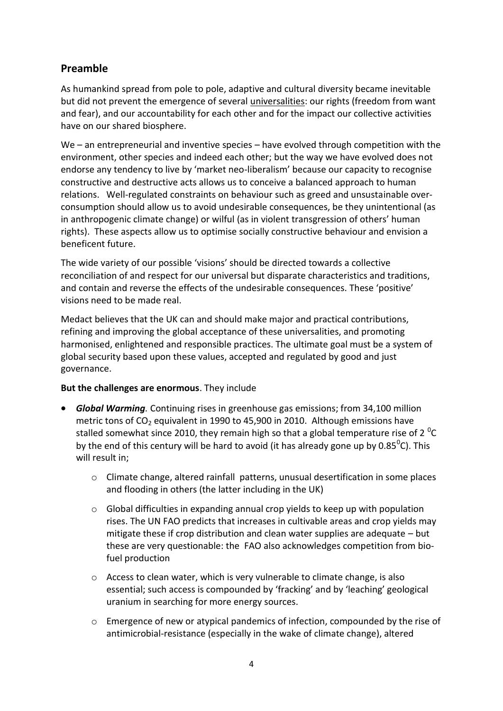# **Preamble**

As humankind spread from pole to pole, adaptive and cultural diversity became inevitable but did not prevent the emergence of several universalities: our rights (freedom from want and fear), and our accountability for each other and for the impact our collective activities have on our shared biosphere.

We – an entrepreneurial and inventive species – have evolved through competition with the environment, other species and indeed each other; but the way we have evolved does not endorse any tendency to live by 'market neo-liberalism' because our capacity to recognise constructive and destructive acts allows us to conceive a balanced approach to human relations. Well-regulated constraints on behaviour such as greed and unsustainable overconsumption should allow us to avoid undesirable consequences, be they unintentional (as in anthropogenic climate change) or wilful (as in violent transgression of others' human rights). These aspects allow us to optimise socially constructive behaviour and envision a beneficent future.

The wide variety of our possible 'visions' should be directed towards a collective reconciliation of and respect for our universal but disparate characteristics and traditions, and contain and reverse the effects of the undesirable consequences. These 'positive' visions need to be made real.

Medact believes that the UK can and should make major and practical contributions, refining and improving the global acceptance of these universalities, and promoting harmonised, enlightened and responsible practices. The ultimate goal must be a system of global security based upon these values, accepted and regulated by good and just governance.

#### **But the challenges are enormous**. They include

- *Global Warming.* Continuing rises in greenhouse gas emissions; from 34,100 million metric tons of  $CO<sub>2</sub>$  equivalent in 1990 to 45,900 in 2010. Although emissions have stalled somewhat since 2010, they remain high so that a global temperature rise of 2  $^0C$ by the end of this century will be hard to avoid (it has already gone up by 0.85 $^0$ C). This will result in;
	- o Climate change, altered rainfall patterns, unusual desertification in some places and flooding in others (the latter including in the UK)
	- $\circ$  Global difficulties in expanding annual crop yields to keep up with population rises. The UN FAO predicts that increases in cultivable areas and crop yields may mitigate these if crop distribution and clean water supplies are adequate – but these are very questionable: the FAO also acknowledges competition from biofuel production
	- $\circ$  Access to clean water, which is very vulnerable to climate change, is also essential; such access is compounded by 'fracking' and by 'leaching' geological uranium in searching for more energy sources.
	- $\circ$  Emergence of new or atypical pandemics of infection, compounded by the rise of antimicrobial-resistance (especially in the wake of climate change), altered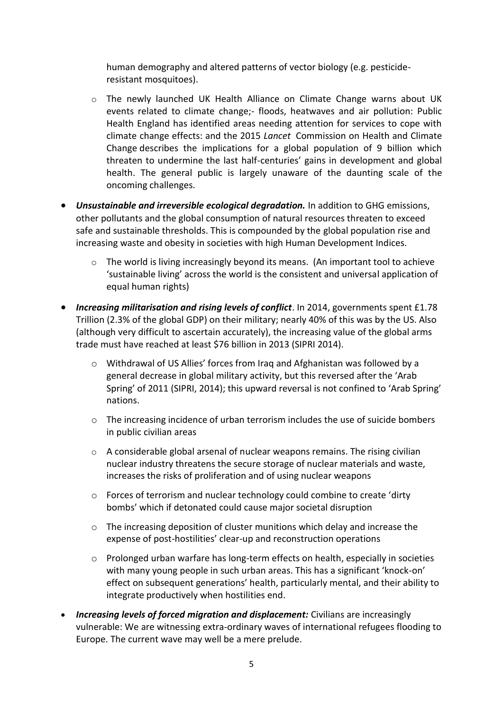human demography and altered patterns of vector biology (e.g. pesticideresistant mosquitoes).

- o The newly launched UK Health Alliance on Climate Change warns about UK events related to climate change;- floods, heatwaves and air pollution: Public Health England has identified areas needing attention for services to cope with climate change effects: and the 2015 *Lancet* Commission on Health and Climate Change describes the implications for a global population of 9 billion which threaten to undermine the last half-centuries' gains in development and global health. The general public is largely unaware of the daunting scale of the oncoming challenges.
- *Unsustainable and irreversible ecological degradation.* In addition to GHG emissions, other pollutants and the global consumption of natural resources threaten to exceed safe and sustainable thresholds. This is compounded by the global population rise and increasing waste and obesity in societies with high Human Development Indices.
	- $\circ$  The world is living increasingly beyond its means. (An important tool to achieve 'sustainable living' across the world is the consistent and universal application of equal human rights)
- *Increasing militarisation and rising levels of conflict*. In 2014, governments spent £1.78 Trillion (2.3% of the global GDP) on their military; nearly 40% of this was by the US. Also (although very difficult to ascertain accurately), the increasing value of the global arms trade must have reached at least \$76 billion in 2013 (SIPRI 2014).
	- o Withdrawal of US Allies' forces from Iraq and Afghanistan was followed by a general decrease in global military activity, but this reversed after the 'Arab Spring' of 2011 (SIPRI, 2014); this upward reversal is not confined to 'Arab Spring' nations.
	- o The increasing incidence of urban terrorism includes the use of suicide bombers in public civilian areas
	- o A considerable global arsenal of nuclear weapons remains. The rising civilian nuclear industry threatens the secure storage of nuclear materials and waste, increases the risks of proliferation and of using nuclear weapons
	- o Forces of terrorism and nuclear technology could combine to create 'dirty bombs' which if detonated could cause major societal disruption
	- $\circ$  The increasing deposition of cluster munitions which delay and increase the expense of post-hostilities' clear-up and reconstruction operations
	- o Prolonged urban warfare has long-term effects on health, especially in societies with many young people in such urban areas. This has a significant 'knock-on' effect on subsequent generations' health, particularly mental, and their ability to integrate productively when hostilities end.
- *Increasing levels of forced migration and displacement:* Civilians are increasingly vulnerable: We are witnessing extra-ordinary waves of international refugees flooding to Europe. The current wave may well be a mere prelude.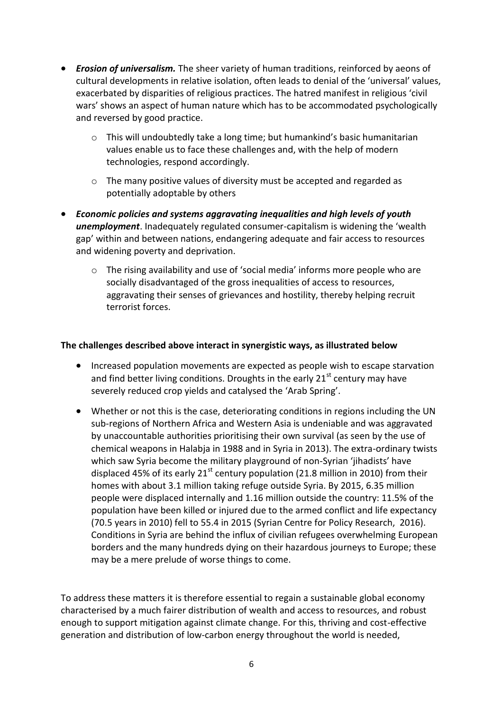- *Erosion of universalism.* The sheer variety of human traditions, reinforced by aeons of cultural developments in relative isolation, often leads to denial of the 'universal' values, exacerbated by disparities of religious practices. The hatred manifest in religious 'civil wars' shows an aspect of human nature which has to be accommodated psychologically and reversed by good practice.
	- $\circ$  This will undoubtedly take a long time; but humankind's basic humanitarian values enable us to face these challenges and, with the help of modern technologies, respond accordingly.
	- o The many positive values of diversity must be accepted and regarded as potentially adoptable by others
- *Economic policies and systems aggravating inequalities and high levels of youth unemployment*. Inadequately regulated consumer-capitalism is widening the 'wealth gap' within and between nations, endangering adequate and fair access to resources and widening poverty and deprivation.
	- o The rising availability and use of 'social media' informs more people who are socially disadvantaged of the gross inequalities of access to resources, aggravating their senses of grievances and hostility, thereby helping recruit terrorist forces.

#### **The challenges described above interact in synergistic ways, as illustrated below**

- Increased population movements are expected as people wish to escape starvation and find better living conditions. Droughts in the early  $21<sup>st</sup>$  century may have severely reduced crop yields and catalysed the 'Arab Spring'.
- Whether or not this is the case, deteriorating conditions in regions including the UN sub-regions of Northern Africa and Western Asia is undeniable and was aggravated by unaccountable authorities prioritising their own survival (as seen by the use of chemical weapons in Halabja in 1988 and in Syria in 2013). The extra-ordinary twists which saw Syria become the military playground of non-Syrian 'jihadists' have displaced 45% of its early  $21<sup>st</sup>$  century population (21.8 million in 2010) from their homes with about 3.1 million taking refuge outside Syria. By 2015, 6.35 million people were displaced internally and 1.16 million outside the country: 11.5% of the population have been killed or injured due to the armed conflict and life expectancy (70.5 years in 2010) fell to 55.4 in 2015 (Syrian Centre for Policy Research, 2016). Conditions in Syria are behind the influx of civilian refugees overwhelming European borders and the many hundreds dying on their hazardous journeys to Europe; these may be a mere prelude of worse things to come.

To address these matters it is therefore essential to regain a sustainable global economy characterised by a much fairer distribution of wealth and access to resources, and robust enough to support mitigation against climate change. For this, thriving and cost-effective generation and distribution of low-carbon energy throughout the world is needed,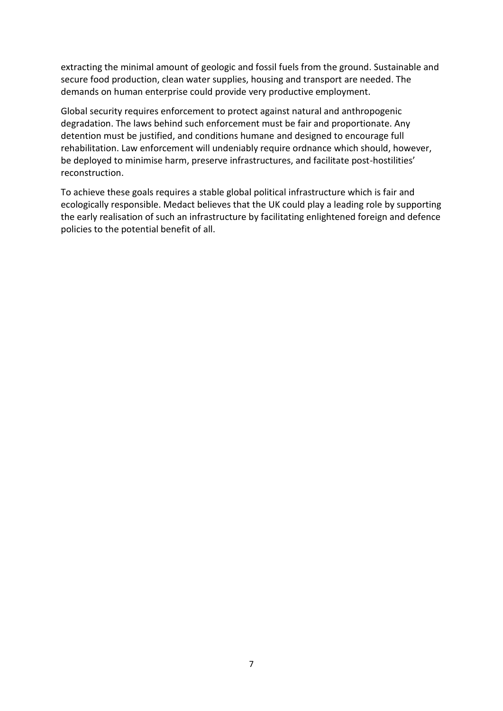extracting the minimal amount of geologic and fossil fuels from the ground. Sustainable and secure food production, clean water supplies, housing and transport are needed. The demands on human enterprise could provide very productive employment.

Global security requires enforcement to protect against natural and anthropogenic degradation. The laws behind such enforcement must be fair and proportionate. Any detention must be justified, and conditions humane and designed to encourage full rehabilitation. Law enforcement will undeniably require ordnance which should, however, be deployed to minimise harm, preserve infrastructures, and facilitate post-hostilities' reconstruction.

To achieve these goals requires a stable global political infrastructure which is fair and ecologically responsible. Medact believes that the UK could play a leading role by supporting the early realisation of such an infrastructure by facilitating enlightened foreign and defence policies to the potential benefit of all.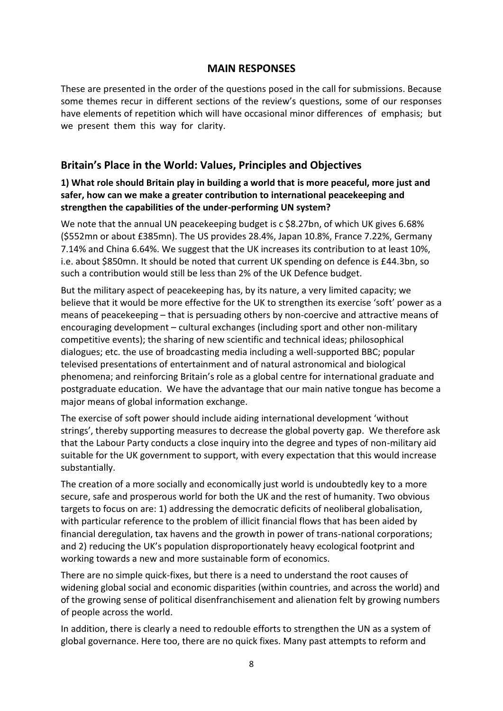#### **MAIN RESPONSES**

These are presented in the order of the questions posed in the call for submissions. Because some themes recur in different sections of the review's questions, some of our responses have elements of repetition which will have occasional minor differences of emphasis; but we present them this way for clarity.

## **Britain's Place in the World: Values, Principles and Objectives**

#### **1) What role should Britain play in building a world that is more peaceful, more just and safer, how can we make a greater contribution to international peacekeeping and strengthen the capabilities of the under-performing UN system?**

We note that the annual UN peacekeeping budget is c \$8.27bn, of which UK gives 6.68% (\$552mn or about £385mn). The US provides 28.4%, Japan 10.8%, France 7.22%, Germany 7.14% and China 6.64%. We suggest that the UK increases its contribution to at least 10%, i.e. about \$850mn. It should be noted that current UK spending on defence is £44.3bn, so such a contribution would still be less than 2% of the UK Defence budget.

But the military aspect of peacekeeping has, by its nature, a very limited capacity; we believe that it would be more effective for the UK to strengthen its exercise 'soft' power as a means of peacekeeping – that is persuading others by non-coercive and attractive means of encouraging development – cultural exchanges (including sport and other non-military competitive events); the sharing of new scientific and technical ideas; philosophical dialogues; etc. the use of broadcasting media including a well-supported BBC; popular televised presentations of entertainment and of natural astronomical and biological phenomena; and reinforcing Britain's role as a global centre for international graduate and postgraduate education. We have the advantage that our main native tongue has become a major means of global information exchange.

The exercise of soft power should include aiding international development 'without strings', thereby supporting measures to decrease the global poverty gap. We therefore ask that the Labour Party conducts a close inquiry into the degree and types of non-military aid suitable for the UK government to support, with every expectation that this would increase substantially.

The creation of a more socially and economically just world is undoubtedly key to a more secure, safe and prosperous world for both the UK and the rest of humanity. Two obvious targets to focus on are: 1) addressing the democratic deficits of neoliberal globalisation, with particular reference to the problem of illicit financial flows that has been aided by financial deregulation, tax havens and the growth in power of trans-national corporations; and 2) reducing the UK's population disproportionately heavy ecological footprint and working towards a new and more sustainable form of economics.

There are no simple quick-fixes, but there is a need to understand the root causes of widening global social and economic disparities (within countries, and across the world) and of the growing sense of political disenfranchisement and alienation felt by growing numbers of people across the world.

In addition, there is clearly a need to redouble efforts to strengthen the UN as a system of global governance. Here too, there are no quick fixes. Many past attempts to reform and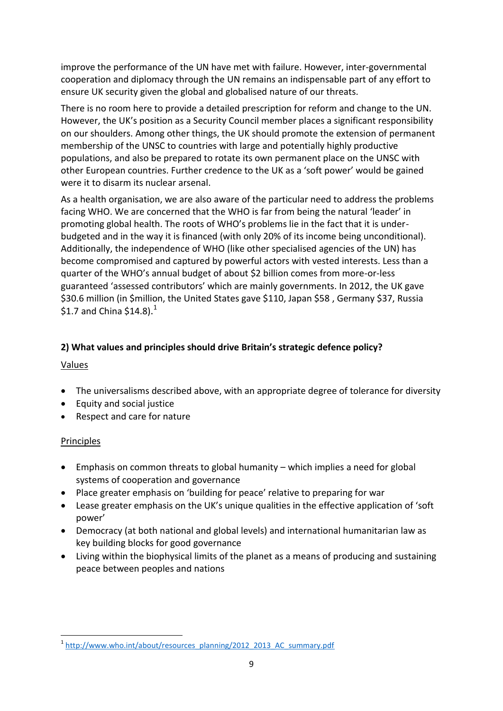improve the performance of the UN have met with failure. However, inter-governmental cooperation and diplomacy through the UN remains an indispensable part of any effort to ensure UK security given the global and globalised nature of our threats.

There is no room here to provide a detailed prescription for reform and change to the UN. However, the UK's position as a Security Council member places a significant responsibility on our shoulders. Among other things, the UK should promote the extension of permanent membership of the UNSC to countries with large and potentially highly productive populations, and also be prepared to rotate its own permanent place on the UNSC with other European countries. Further credence to the UK as a 'soft power' would be gained were it to disarm its nuclear arsenal.

As a health organisation, we are also aware of the particular need to address the problems facing WHO. We are concerned that the WHO is far from being the natural 'leader' in promoting global health. The roots of WHO's problems lie in the fact that it is underbudgeted and in the way it is financed (with only 20% of its income being unconditional). Additionally, the independence of WHO (like other specialised agencies of the UN) has become compromised and captured by powerful actors with vested interests. Less than a quarter of the WHO's annual budget of about \$2 billion comes from more-or-less guaranteed 'assessed contributors' which are mainly governments. In 2012, the UK gave \$30.6 million (in \$million, the United States gave \$110, Japan \$58 , Germany \$37, Russia \$1.7 and China \$14.8).<sup>1</sup>

#### **2) What values and principles should drive Britain's strategic defence policy?**

#### Values

- The universalisms described above, with an appropriate degree of tolerance for diversity
- Equity and social justice
- Respect and care for nature

## Principles

**.** 

- Emphasis on common threats to global humanity which implies a need for global systems of cooperation and governance
- Place greater emphasis on 'building for peace' relative to preparing for war
- Lease greater emphasis on the UK's unique qualities in the effective application of 'soft power'
- Democracy (at both national and global levels) and international humanitarian law as key building blocks for good governance
- Living within the biophysical limits of the planet as a means of producing and sustaining peace between peoples and nations

<sup>&</sup>lt;sup>1</sup> [http://www.who.int/about/resources\\_planning/2012\\_2013\\_AC\\_summary.pdf](http://www.who.int/about/resources_planning/2012_2013_AC_summary.pdf)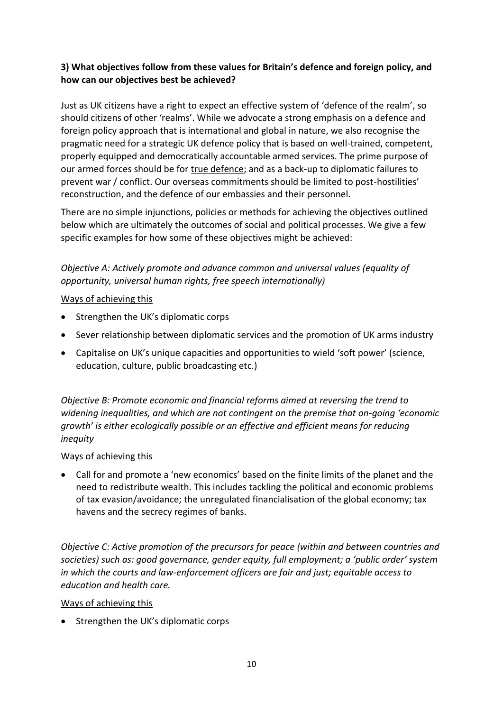## **3) What objectives follow from these values for Britain's defence and foreign policy, and how can our objectives best be achieved?**

Just as UK citizens have a right to expect an effective system of 'defence of the realm', so should citizens of other 'realms'. While we advocate a strong emphasis on a defence and foreign policy approach that is international and global in nature, we also recognise the pragmatic need for a strategic UK defence policy that is based on well-trained, competent, properly equipped and democratically accountable armed services. The prime purpose of our armed forces should be for true defence; and as a back-up to diplomatic failures to prevent war / conflict. Our overseas commitments should be limited to post-hostilities' reconstruction, and the defence of our embassies and their personnel.

There are no simple injunctions, policies or methods for achieving the objectives outlined below which are ultimately the outcomes of social and political processes. We give a few specific examples for how some of these objectives might be achieved:

*Objective A: Actively promote and advance common and universal values (equality of opportunity, universal human rights, free speech internationally)* 

#### Ways of achieving this

- Strengthen the UK's diplomatic corps
- Sever relationship between diplomatic services and the promotion of UK arms industry
- Capitalise on UK's unique capacities and opportunities to wield 'soft power' (science, education, culture, public broadcasting etc.)

*Objective B: Promote economic and financial reforms aimed at reversing the trend to widening inequalities, and which are not contingent on the premise that on-going 'economic growth' is either ecologically possible or an effective and efficient means for reducing inequity*

#### Ways of achieving this

 Call for and promote a 'new economics' based on the finite limits of the planet and the need to redistribute wealth. This includes tackling the political and economic problems of tax evasion/avoidance; the unregulated financialisation of the global economy; tax havens and the secrecy regimes of banks.

*Objective C: Active promotion of the precursors for peace (within and between countries and societies) such as: good governance, gender equity, full employment; a 'public order' system in which the courts and law-enforcement officers are fair and just; equitable access to education and health care.*

#### Ways of achieving this

• Strengthen the UK's diplomatic corps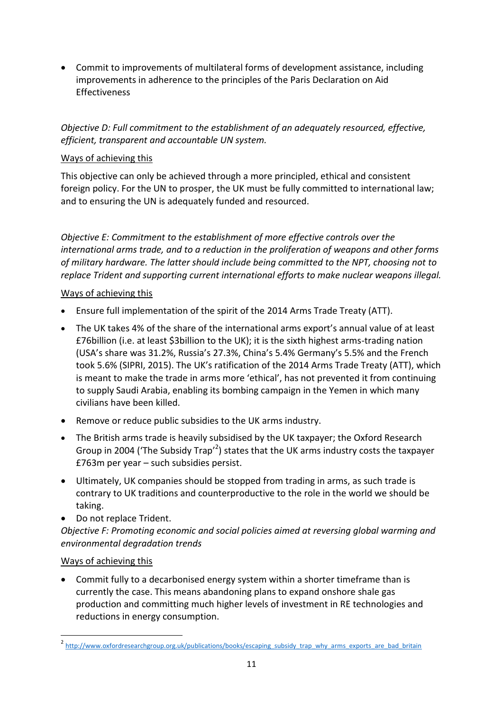Commit to improvements of multilateral forms of development assistance, including improvements in adherence to the principles of the Paris Declaration on Aid Effectiveness

*Objective D: Full commitment to the establishment of an adequately resourced, effective, efficient, transparent and accountable UN system.*

#### Ways of achieving this

This objective can only be achieved through a more principled, ethical and consistent foreign policy. For the UN to prosper, the UK must be fully committed to international law; and to ensuring the UN is adequately funded and resourced.

*Objective E: Commitment to the establishment of more effective controls over the international arms trade, and to a reduction in the proliferation of weapons and other forms of military hardware. The latter should include being committed to the NPT, choosing not to replace Trident and supporting current international efforts to make nuclear weapons illegal.*

## Ways of achieving this

- Ensure full implementation of the spirit of the 2014 Arms Trade Treaty (ATT).
- The UK takes 4% of the share of the international arms export's annual value of at least £76billion (i.e. at least \$3billion to the UK); it is the sixth highest arms-trading nation (USA's share was 31.2%, Russia's 27.3%, China's 5.4% Germany's 5.5% and the French took 5.6% (SIPRI, 2015). The UK's ratification of the 2014 Arms Trade Treaty (ATT), which is meant to make the trade in arms more 'ethical', has not prevented it from continuing to supply Saudi Arabia, enabling its bombing campaign in the Yemen in which many civilians have been killed.
- Remove or reduce public subsidies to the UK arms industry.
- The British arms trade is heavily subsidised by the UK taxpayer; the Oxford Research Group in 2004 ('The Subsidy Trap'<sup>2</sup>) states that the UK arms industry costs the taxpayer £763m per year – such subsidies persist.
- Ultimately, UK companies should be stopped from trading in arms, as such trade is contrary to UK traditions and counterproductive to the role in the world we should be taking.
- Do not replace Trident.

*Objective F: Promoting economic and social policies aimed at reversing global warming and environmental degradation trends* 

## Ways of achieving this

**.** 

 Commit fully to a decarbonised energy system within a shorter timeframe than is currently the case. This means abandoning plans to expand onshore shale gas production and committing much higher levels of investment in RE technologies and reductions in energy consumption.

<sup>&</sup>lt;sup>2</sup> [http://www.oxfordresearchgroup.org.uk/publications/books/escaping\\_subsidy\\_trap\\_why\\_arms\\_exports\\_are\\_bad\\_britain](http://www.oxfordresearchgroup.org.uk/publications/books/escaping_subsidy_trap_why_arms_exports_are_bad_britain)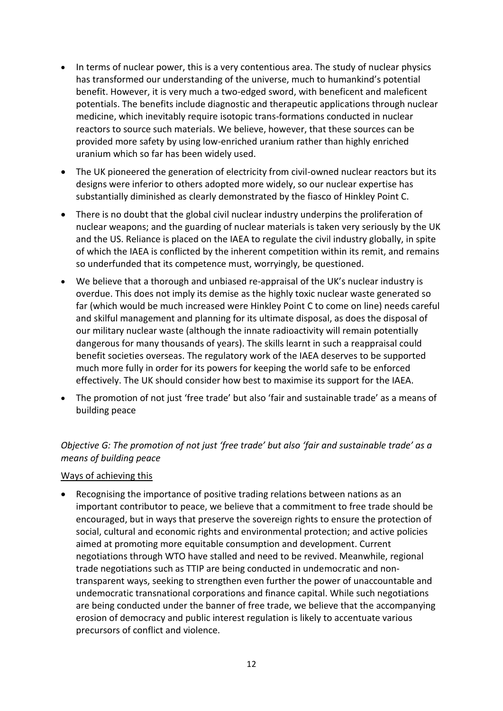- In terms of nuclear power, this is a very contentious area. The study of nuclear physics has transformed our understanding of the universe, much to humankind's potential benefit. However, it is very much a two-edged sword, with beneficent and maleficent potentials. The benefits include diagnostic and therapeutic applications through nuclear medicine, which inevitably require isotopic trans-formations conducted in nuclear reactors to source such materials. We believe, however, that these sources can be provided more safety by using low-enriched uranium rather than highly enriched uranium which so far has been widely used.
- The UK pioneered the generation of electricity from civil-owned nuclear reactors but its designs were inferior to others adopted more widely, so our nuclear expertise has substantially diminished as clearly demonstrated by the fiasco of Hinkley Point C.
- There is no doubt that the global civil nuclear industry underpins the proliferation of nuclear weapons; and the guarding of nuclear materials is taken very seriously by the UK and the US. Reliance is placed on the IAEA to regulate the civil industry globally, in spite of which the IAEA is conflicted by the inherent competition within its remit, and remains so underfunded that its competence must, worryingly, be questioned.
- We believe that a thorough and unbiased re-appraisal of the UK's nuclear industry is overdue. This does not imply its demise as the highly toxic nuclear waste generated so far (which would be much increased were Hinkley Point C to come on line) needs careful and skilful management and planning for its ultimate disposal, as does the disposal of our military nuclear waste (although the innate radioactivity will remain potentially dangerous for many thousands of years). The skills learnt in such a reappraisal could benefit societies overseas. The regulatory work of the IAEA deserves to be supported much more fully in order for its powers for keeping the world safe to be enforced effectively. The UK should consider how best to maximise its support for the IAEA.
- The promotion of not just 'free trade' but also 'fair and sustainable trade' as a means of building peace

## *Objective G: The promotion of not just 'free trade' but also 'fair and sustainable trade' as a means of building peace*

#### Ways of achieving this

 Recognising the importance of positive trading relations between nations as an important contributor to peace, we believe that a commitment to free trade should be encouraged, but in ways that preserve the sovereign rights to ensure the protection of social, cultural and economic rights and environmental protection; and active policies aimed at promoting more equitable consumption and development. Current negotiations through WTO have stalled and need to be revived. Meanwhile, regional trade negotiations such as TTIP are being conducted in undemocratic and nontransparent ways, seeking to strengthen even further the power of unaccountable and undemocratic transnational corporations and finance capital. While such negotiations are being conducted under the banner of free trade, we believe that the accompanying erosion of democracy and public interest regulation is likely to accentuate various precursors of conflict and violence.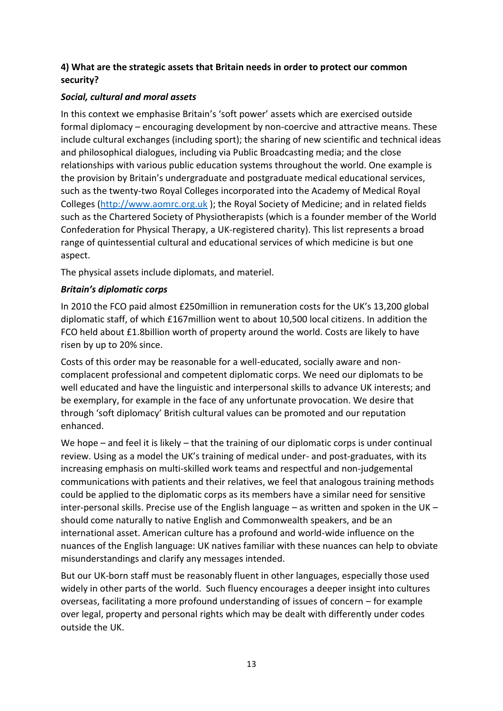#### **4) What are the strategic assets that Britain needs in order to protect our common security?**

## *Social, cultural and moral assets*

In this context we emphasise Britain's 'soft power' assets which are exercised outside formal diplomacy – encouraging development by non-coercive and attractive means. These include cultural exchanges (including sport); the sharing of new scientific and technical ideas and philosophical dialogues, including via Public Broadcasting media; and the close relationships with various public education systems throughout the world. One example is the provision by Britain's undergraduate and postgraduate medical educational services, such as the twenty-two Royal Colleges incorporated into the Academy of Medical Royal Colleges [\(http://www.aomrc.org.uk](http://www.aomrc.org.uk/) ); the Royal Society of Medicine; and in related fields such as the Chartered Society of Physiotherapists (which is a founder member of the World Confederation for Physical Therapy, a UK-registered charity). This list represents a broad range of quintessential cultural and educational services of which medicine is but one aspect.

The physical assets include diplomats, and materiel.

## *Britain's diplomatic corps*

In 2010 the FCO paid almost £250million in remuneration costs for the UK's 13,200 global diplomatic staff, of which £167million went to about 10,500 local citizens. In addition the FCO held about £1.8billion worth of property around the world. Costs are likely to have risen by up to 20% since.

Costs of this order may be reasonable for a well-educated, socially aware and noncomplacent professional and competent diplomatic corps. We need our diplomats to be well educated and have the linguistic and interpersonal skills to advance UK interests; and be exemplary, for example in the face of any unfortunate provocation. We desire that through 'soft diplomacy' British cultural values can be promoted and our reputation enhanced.

We hope – and feel it is likely – that the training of our diplomatic corps is under continual review. Using as a model the UK's training of medical under- and post-graduates, with its increasing emphasis on multi-skilled work teams and respectful and non-judgemental communications with patients and their relatives, we feel that analogous training methods could be applied to the diplomatic corps as its members have a similar need for sensitive inter-personal skills. Precise use of the English language – as written and spoken in the UK – should come naturally to native English and Commonwealth speakers, and be an international asset. American culture has a profound and world-wide influence on the nuances of the English language: UK natives familiar with these nuances can help to obviate misunderstandings and clarify any messages intended.

But our UK-born staff must be reasonably fluent in other languages, especially those used widely in other parts of the world. Such fluency encourages a deeper insight into cultures overseas, facilitating a more profound understanding of issues of concern – for example over legal, property and personal rights which may be dealt with differently under codes outside the UK.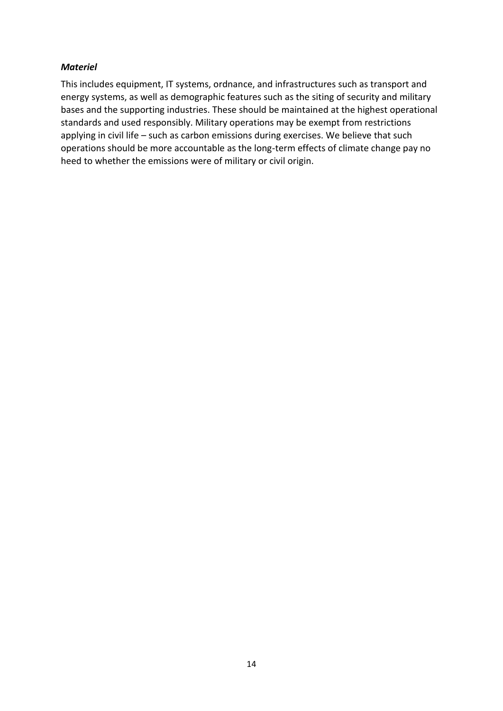#### *Materiel*

This includes equipment, IT systems, ordnance, and infrastructures such as transport and energy systems, as well as demographic features such as the siting of security and military bases and the supporting industries. These should be maintained at the highest operational standards and used responsibly. Military operations may be exempt from restrictions applying in civil life – such as carbon emissions during exercises. We believe that such operations should be more accountable as the long-term effects of climate change pay no heed to whether the emissions were of military or civil origin.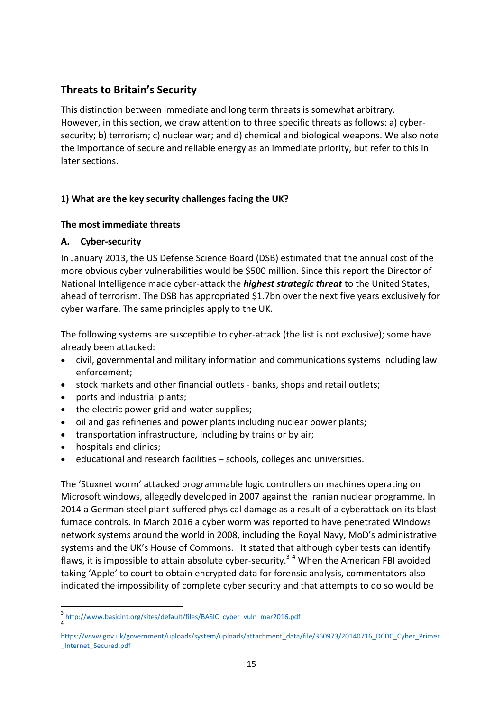# **Threats to Britain's Security**

This distinction between immediate and long term threats is somewhat arbitrary. However, in this section, we draw attention to three specific threats as follows: a) cybersecurity; b) terrorism; c) nuclear war; and d) chemical and biological weapons. We also note the importance of secure and reliable energy as an immediate priority, but refer to this in later sections.

## **1) What are the key security challenges facing the UK?**

#### **The most immediate threats**

#### **A. Cyber-security**

In January 2013, the US Defense Science Board (DSB) estimated that the annual cost of the more obvious cyber vulnerabilities would be \$500 million. Since this report the Director of National Intelligence made cyber-attack the *highest strategic threat* to the United States, ahead of terrorism. The DSB has appropriated \$1.7bn over the next five years exclusively for cyber warfare. The same principles apply to the UK.

The following systems are susceptible to cyber-attack (the list is not exclusive); some have already been attacked:

- civil, governmental and military information and communications systems including law enforcement;
- stock markets and other financial outlets banks, shops and retail outlets;
- ports and industrial plants;
- the electric power grid and water supplies;
- oil and gas refineries and power plants including nuclear power plants;
- transportation infrastructure, including by trains or by air;
- hospitals and clinics;

 $\overline{a}$ 

educational and research facilities – schools, colleges and universities.

The 'Stuxnet worm' attacked programmable logic controllers on machines operating on Microsoft windows, allegedly developed in 2007 against the Iranian nuclear programme. In 2014 a German steel plant suffered physical damage as a result of a cyberattack on its blast furnace controls. In March 2016 a cyber worm was reported to have penetrated Windows network systems around the world in 2008, including the Royal Navy, MoD's administrative systems and the UK's House of Commons. It stated that although cyber tests can identify flaws, it is impossible to attain absolute cyber-security.<sup>34</sup> When the American FBI avoided taking 'Apple' to court to obtain encrypted data for forensic analysis, commentators also indicated the impossibility of complete cyber security and that attempts to do so would be

<sup>3</sup> http://www.basicint.org/sites/default/files/BASIC\_cyber\_vuln\_mar2016.pdf 4

[https://www.gov.uk/government/uploads/system/uploads/attachment\\_data/file/360973/20140716\\_DCDC\\_Cyber\\_Primer](https://www.gov.uk/government/uploads/system/uploads/attachment_data/file/360973/20140716_DCDC_Cyber_Primer_Internet_Secured.pdf) [\\_Internet\\_Secured.pdf](https://www.gov.uk/government/uploads/system/uploads/attachment_data/file/360973/20140716_DCDC_Cyber_Primer_Internet_Secured.pdf)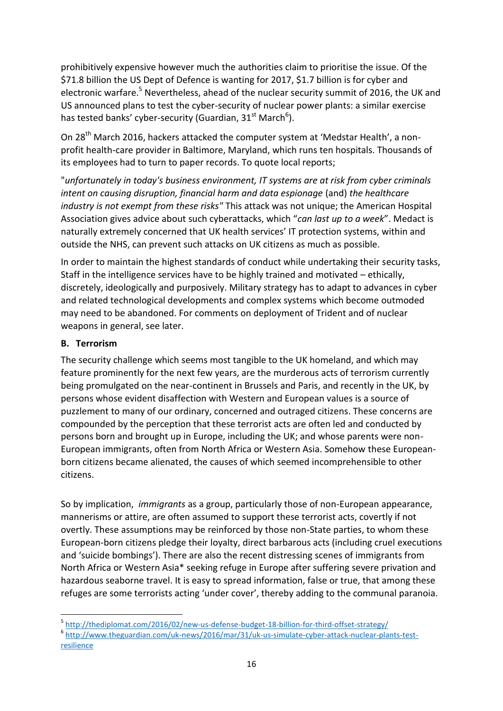prohibitively expensive however much the authorities claim to prioritise the issue. Of the \$71.8 billion the US Dept of Defence is wanting for 2017, \$1.7 billion is for cyber and electronic warfare.<sup>5</sup> Nevertheless, ahead of the nuclear security summit of 2016, the UK and US announced plans to test the cyber-security of nuclear power plants: a similar exercise has tested banks' cyber-security (Guardian, 31<sup>st</sup> March<sup>6</sup>).

On 28<sup>th</sup> March 2016, hackers attacked the computer system at 'Medstar Health', a nonprofit health-care provider in Baltimore, Maryland, which runs ten hospitals. Thousands of its employees had to turn to paper records. To quote local reports;

"*unfortunately in today's business environment, IT systems are at risk from cyber criminals intent on causing disruption, financial harm and data espionage* (and) *the healthcare industry is not exempt from these risks"* This attack was not unique; the American Hospital Association gives advice about such cyberattacks, which "*can last up to a week*". Medact is naturally extremely concerned that UK health services' IT protection systems, within and outside the NHS, can prevent such attacks on UK citizens as much as possible.

In order to maintain the highest standards of conduct while undertaking their security tasks, Staff in the intelligence services have to be highly trained and motivated – ethically, discretely, ideologically and purposively. Military strategy has to adapt to advances in cyber and related technological developments and complex systems which become outmoded may need to be abandoned. For comments on deployment of Trident and of nuclear weapons in general, see later.

## **B. Terrorism**

The security challenge which seems most tangible to the UK homeland, and which may feature prominently for the next few years, are the murderous acts of terrorism currently being promulgated on the near-continent in Brussels and Paris, and recently in the UK, by persons whose evident disaffection with Western and European values is a source of puzzlement to many of our ordinary, concerned and outraged citizens. These concerns are compounded by the perception that these terrorist acts are often led and conducted by persons born and brought up in Europe, including the UK; and whose parents were non-European immigrants, often from North Africa or Western Asia. Somehow these Europeanborn citizens became alienated, the causes of which seemed incomprehensible to other citizens.

So by implication, *immigrants* as a group, particularly those of non-European appearance, mannerisms or attire, are often assumed to support these terrorist acts, covertly if not overtly. These assumptions may be reinforced by those non-State parties, to whom these European-born citizens pledge their loyalty, direct barbarous acts (including cruel executions and 'suicide bombings'). There are also the recent distressing scenes of immigrants from North Africa or Western Asia\* seeking refuge in Europe after suffering severe privation and hazardous seaborne travel. It is easy to spread information, false or true, that among these refuges are some terrorists acting 'under cover', thereby adding to the communal paranoia.

6 [http://www.theguardian.com/uk-news/2016/mar/31/uk-us-simulate-cyber-attack-nuclear-plants-test](http://www.theguardian.com/uk-news/2016/mar/31/uk-us-simulate-cyber-attack-nuclear-plants-test-resilience)[resilience](http://www.theguardian.com/uk-news/2016/mar/31/uk-us-simulate-cyber-attack-nuclear-plants-test-resilience)

**<sup>.</sup>** <sup>5</sup> http://thediplomat.com/2016/02/new-us-defense-budget-18-billion-for-third-offset-strategy/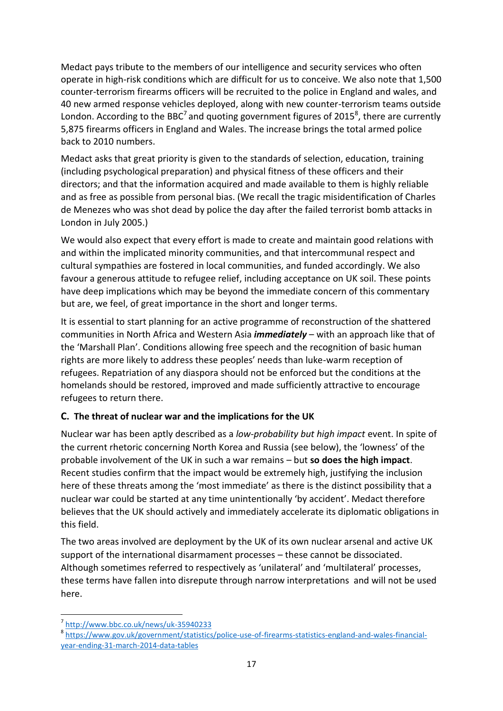Medact pays tribute to the members of our intelligence and security services who often operate in high-risk conditions which are difficult for us to conceive. We also note that 1,500 counter-terrorism firearms officers will be recruited to the police in England and wales, and 40 new armed response vehicles deployed, along with new counter-terrorism teams outside London. According to the BBC<sup>7</sup> and quoting government figures of 2015<sup>8</sup>, there are currently 5,875 firearms officers in England and Wales. The increase brings the total armed police back to 2010 numbers.

Medact asks that great priority is given to the standards of selection, education, training (including psychological preparation) and physical fitness of these officers and their directors; and that the information acquired and made available to them is highly reliable and as free as possible from personal bias. (We recall the tragic misidentification of Charles de Menezes who was shot dead by police the day after the failed terrorist bomb attacks in London in July 2005.)

We would also expect that every effort is made to create and maintain good relations with and within the implicated minority communities, and that intercommunal respect and cultural sympathies are fostered in local communities, and funded accordingly. We also favour a generous attitude to refugee relief, including acceptance on UK soil. These points have deep implications which may be beyond the immediate concern of this commentary but are, we feel, of great importance in the short and longer terms.

It is essential to start planning for an active programme of reconstruction of the shattered communities in North Africa and Western Asia *immediately* – with an approach like that of the 'Marshall Plan'. Conditions allowing free speech and the recognition of basic human rights are more likely to address these peoples' needs than luke-warm reception of refugees. Repatriation of any diaspora should not be enforced but the conditions at the homelands should be restored, improved and made sufficiently attractive to encourage refugees to return there.

# **C. The threat of nuclear war and the implications for the UK**

Nuclear war has been aptly described as a *low-probability but high impact* event. In spite of the current rhetoric concerning North Korea and Russia (see below), the 'lowness' of the probable involvement of the UK in such a war remains – but **so does the high impact**. Recent studies confirm that the impact would be extremely high, justifying the inclusion here of these threats among the 'most immediate' as there is the distinct possibility that a nuclear war could be started at any time unintentionally 'by accident'. Medact therefore believes that the UK should actively and immediately accelerate its diplomatic obligations in this field.

The two areas involved are deployment by the UK of its own nuclear arsenal and active UK support of the international disarmament processes – these cannot be dissociated. Although sometimes referred to respectively as 'unilateral' and 'multilateral' processes, these terms have fallen into disrepute through narrow interpretations and will not be used here.

**<sup>.</sup>** 7 <http://www.bbc.co.uk/news/uk-35940233>

<sup>&</sup>lt;sup>8</sup> [https://www.gov.uk/government/statistics/police-use-of-firearms-statistics-england-and-wales-financial](https://www.gov.uk/government/statistics/police-use-of-firearms-statistics-england-and-wales-financial-year-ending-31-march-2014-data-tables)[year-ending-31-march-2014-data-tables](https://www.gov.uk/government/statistics/police-use-of-firearms-statistics-england-and-wales-financial-year-ending-31-march-2014-data-tables)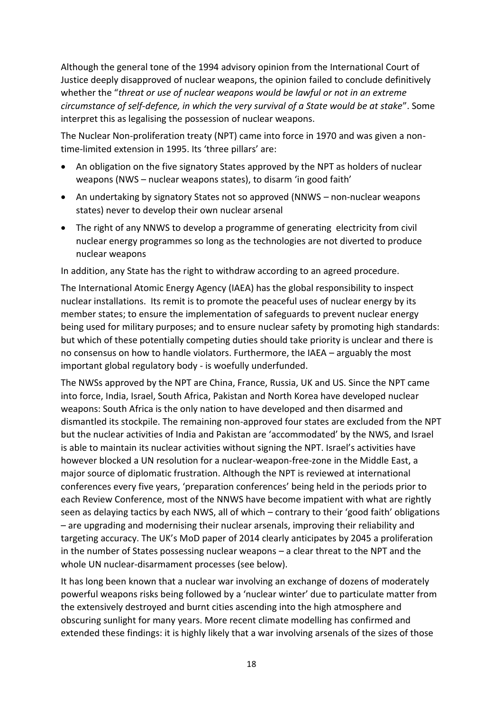Although the general tone of the 1994 advisory opinion from the International Court of Justice deeply disapproved of nuclear weapons, the opinion failed to conclude definitively whether the "*threat or use of nuclear weapons would be lawful or not in an extreme circumstance of self-defence, in which the very survival of a State would be at stake*". Some interpret this as legalising the possession of nuclear weapons.

The Nuclear Non-proliferation treaty (NPT) came into force in 1970 and was given a nontime-limited extension in 1995. Its 'three pillars' are:

- An obligation on the five signatory States approved by the NPT as holders of nuclear weapons (NWS – nuclear weapons states), to disarm 'in good faith'
- An undertaking by signatory States not so approved (NNWS non-nuclear weapons states) never to develop their own nuclear arsenal
- The right of any NNWS to develop a programme of generating electricity from civil nuclear energy programmes so long as the technologies are not diverted to produce nuclear weapons

In addition, any State has the right to withdraw according to an agreed procedure.

The International Atomic Energy Agency (IAEA) has the global responsibility to inspect nuclear installations. Its remit is to promote the peaceful uses of nuclear energy by its member states; to ensure the implementation of safeguards to prevent nuclear energy being used for military purposes; and to ensure nuclear safety by promoting high standards: but which of these potentially competing duties should take priority is unclear and there is no consensus on how to handle violators. Furthermore, the IAEA – arguably the most important global regulatory body - is woefully underfunded.

The NWSs approved by the NPT are China, France, Russia, UK and US. Since the NPT came into force, India, Israel, South Africa, Pakistan and North Korea have developed nuclear weapons: South Africa is the only nation to have developed and then disarmed and dismantled its stockpile. The remaining non-approved four states are excluded from the NPT but the nuclear activities of India and Pakistan are 'accommodated' by the NWS, and Israel is able to maintain its nuclear activities without signing the NPT. Israel's activities have however blocked a UN resolution for a nuclear-weapon-free-zone in the Middle East, a major source of diplomatic frustration. Although the NPT is reviewed at international conferences every five years, 'preparation conferences' being held in the periods prior to each Review Conference, most of the NNWS have become impatient with what are rightly seen as delaying tactics by each NWS, all of which – contrary to their 'good faith' obligations – are upgrading and modernising their nuclear arsenals, improving their reliability and targeting accuracy. The UK's MoD paper of 2014 clearly anticipates by 2045 a proliferation in the number of States possessing nuclear weapons – a clear threat to the NPT and the whole UN nuclear-disarmament processes (see below).

It has long been known that a nuclear war involving an exchange of dozens of moderately powerful weapons risks being followed by a 'nuclear winter' due to particulate matter from the extensively destroyed and burnt cities ascending into the high atmosphere and obscuring sunlight for many years. More recent climate modelling has confirmed and extended these findings: it is highly likely that a war involving arsenals of the sizes of those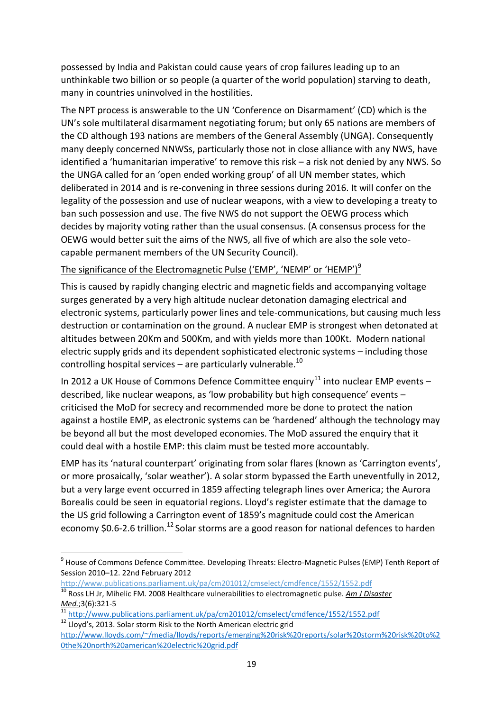possessed by India and Pakistan could cause years of crop failures leading up to an unthinkable two billion or so people (a quarter of the world population) starving to death, many in countries uninvolved in the hostilities.

The NPT process is answerable to the UN 'Conference on Disarmament' (CD) which is the UN's sole multilateral disarmament negotiating forum; but only 65 nations are members of the CD although 193 nations are members of the General Assembly (UNGA). Consequently many deeply concerned NNWSs, particularly those not in close alliance with any NWS, have identified a 'humanitarian imperative' to remove this risk – a risk not denied by any NWS. So the UNGA called for an 'open ended working group' of all UN member states, which deliberated in 2014 and is re-convening in three sessions during 2016. It will confer on the legality of the possession and use of nuclear weapons, with a view to developing a treaty to ban such possession and use. The five NWS do not support the OEWG process which decides by majority voting rather than the usual consensus. (A consensus process for the OEWG would better suit the aims of the NWS, all five of which are also the sole vetocapable permanent members of the UN Security Council).

#### The significance of the Electromagnetic Pulse ('EMP', 'NEMP' or 'HEMP')<sup>9</sup>

This is caused by rapidly changing [electric](https://en.wikipedia.org/wiki/Electric_fields) and [magnetic fields](https://en.wikipedia.org/wiki/Magnetic_fields) and accompanying voltage surges generated by a very high altitude nuclear detonation damaging electrical and electronic systems, particularly power lines and tele-communications, but causing much less destruction or contamination on the ground. A nuclear EMP is strongest when detonated at altitudes between 20Km and 500Km, and with yields more than 100Kt. Modern national electric supply grids and its dependent sophisticated electronic systems – including those controlling hospital services – are particularly vulnerable.<sup>10</sup>

In 2012 a UK House of Commons Defence Committee enquiry<sup>11</sup> into nuclear EMP events – described, like nuclear weapons, as 'low probability but high consequence' events – criticised the MoD for secrecy and recommended more be done to protect the nation against a hostile EMP, as electronic systems can be 'hardened' although the technology may be beyond all but the most developed economies. The MoD assured the enquiry that it could deal with a hostile EMP: this claim must be tested more accountably.

EMP has its 'natural counterpart' originating from solar flares (known as 'Carrington events', or more prosaically, 'solar weather'). A solar storm bypassed the Earth uneventfully in 2012, but a very large event occurred in 1859 affecting telegraph lines over America; the Aurora Borealis could be seen in equatorial regions. Lloyd's register estimate that the damage to the US grid following a Carrington event of 1859's magnitude could cost the American economy \$0.6-2.6 trillion.<sup>12</sup> Solar storms are a good reason for national defences to harden

<http://www.publications.parliament.uk/pa/cm201012/cmselect/cmdfence/1552/1552.pdf> <sup>10</sup> [Ross LH Jr,](http://www.ncbi.nlm.nih.gov/pubmed/?term=Ross%20LH%20Jr%5BAuthor%5D&cauthor=true&cauthor_uid=19202885) [Mihelic FM.](http://www.ncbi.nlm.nih.gov/pubmed/?term=Mihelic%20FM%5BAuthor%5D&cauthor=true&cauthor_uid=19202885) 2008 Healthcare vulnerabilities to electromagnetic pulse. *[Am J Disaster](http://www.ncbi.nlm.nih.gov/pubmed/?term=Ross%20LH%20Jr%5BAuthor%5D&cmd=DetailsSearch)  [Med.](http://www.ncbi.nlm.nih.gov/pubmed/?term=Ross%20LH%20Jr%5BAuthor%5D&cmd=DetailsSearch)*;3(6):321-5

 9 House of Commons Defence Committee. Developing Threats: Electro-Magnetic Pulses (EMP) Tenth Report of Session 2010–12. 22nd February 2012

<sup>11</sup> <http://www.publications.parliament.uk/pa/cm201012/cmselect/cmdfence/1552/1552.pdf>

<sup>&</sup>lt;sup>12</sup> Lloyd's, 2013. Solar storm Risk to the North American electric grid

[http://www.lloyds.com/~/media/lloyds/reports/emerging%20risk%20reports/solar%20storm%20risk%20to%2](http://www.lloyds.com/~/media/lloyds/reports/emerging%20risk%20reports/solar%20storm%20risk%20to%20the%20north%20american%20electric%20grid.pdf) [0the%20north%20american%20electric%20grid.pdf](http://www.lloyds.com/~/media/lloyds/reports/emerging%20risk%20reports/solar%20storm%20risk%20to%20the%20north%20american%20electric%20grid.pdf)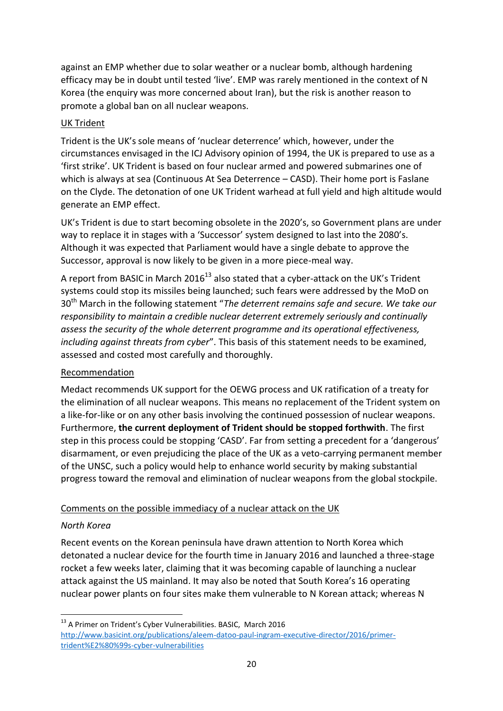against an EMP whether due to solar weather or a nuclear bomb, although hardening efficacy may be in doubt until tested 'live'. EMP was rarely mentioned in the context of N Korea (the enquiry was more concerned about Iran), but the risk is another reason to promote a global ban on all nuclear weapons.

## UK Trident

Trident is the UK's sole means of 'nuclear deterrence' which, however, under the circumstances envisaged in the ICJ Advisory opinion of 1994, the UK is prepared to use as a 'first strike'. UK Trident is based on four nuclear armed and powered submarines one of which is always at sea (Continuous At Sea Deterrence – CASD). Their home port is Faslane on the Clyde. The detonation of one UK Trident warhead at full yield and high altitude would generate an EMP effect.

UK's Trident is due to start becoming obsolete in the 2020's, so Government plans are under way to replace it in stages with a 'Successor' system designed to last into the 2080's. Although it was expected that Parliament would have a single debate to approve the Successor, approval is now likely to be given in a more piece-meal way.

A report from BASIC in March 2016<sup>13</sup> also stated that a cyber-attack on the UK's Trident systems could stop its missiles being launched; such fears were addressed by the MoD on 30th March in the following statement "*The deterrent remains safe and secure. We take our responsibility to maintain a credible nuclear deterrent extremely seriously and continually assess the security of the whole deterrent programme and its operational effectiveness, including against threats from cyber*". This basis of this statement needs to be examined, assessed and costed most carefully and thoroughly.

## Recommendation

Medact recommends UK support for the OEWG process and UK ratification of a treaty for the elimination of all nuclear weapons. This means no replacement of the Trident system on a like-for-like or on any other basis involving the continued possession of nuclear weapons. Furthermore, **the current deployment of Trident should be stopped forthwith**. The first step in this process could be stopping 'CASD'. Far from setting a precedent for a 'dangerous' disarmament, or even prejudicing the place of the UK as a veto-carrying permanent member of the UNSC, such a policy would help to enhance world security by making substantial progress toward the removal and elimination of nuclear weapons from the global stockpile.

## Comments on the possible immediacy of a nuclear attack on the UK

## *North Korea*

Recent events on the Korean peninsula have drawn attention to North Korea which detonated a nuclear device for the fourth time in January 2016 and launched a three-stage rocket a few weeks later, claiming that it was becoming capable of launching a nuclear attack against the US mainland. It may also be noted that South Korea's 16 operating nuclear power plants on four sites make them vulnerable to N Korean attack; whereas N

**<sup>.</sup>**  $^{13}$  A Primer on Trident's Cyber Vulnerabilities. BASIC, March 2016 [http://www.basicint.org/publications/aleem-datoo-paul-ingram-executive-director/2016/primer](http://www.basicint.org/publications/aleem-datoo-paul-ingram-executive-director/2016/primer-trident’s-cyber-vulnerabilities)[trident%E2%80%99s-cyber-vulnerabilities](http://www.basicint.org/publications/aleem-datoo-paul-ingram-executive-director/2016/primer-trident’s-cyber-vulnerabilities)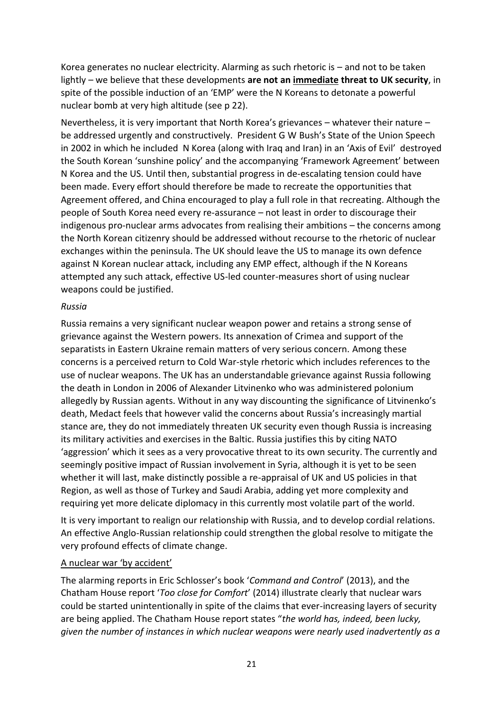Korea generates no nuclear electricity. Alarming as such rhetoric is – and not to be taken lightly – we believe that these developments **are not an immediate threat to UK security**, in spite of the possible induction of an 'EMP' were the N Koreans to detonate a powerful nuclear bomb at very high altitude (see p 22).

Nevertheless, it is very important that North Korea's grievances – whatever their nature – be addressed urgently and constructively. President G W Bush's State of the Union Speech in 2002 in which he included N Korea (along with Iraq and Iran) in an 'Axis of Evil' destroyed the South Korean 'sunshine policy' and the accompanying 'Framework Agreement' between N Korea and the US. Until then, substantial progress in de-escalating tension could have been made. Every effort should therefore be made to recreate the opportunities that Agreement offered, and China encouraged to play a full role in that recreating. Although the people of South Korea need every re-assurance – not least in order to discourage their indigenous pro-nuclear arms advocates from realising their ambitions – the concerns among the North Korean citizenry should be addressed without recourse to the rhetoric of nuclear exchanges within the peninsula. The UK should leave the US to manage its own defence against N Korean nuclear attack, including any EMP effect, although if the N Koreans attempted any such attack, effective US-led counter-measures short of using nuclear weapons could be justified.

#### *Russia*

Russia remains a very significant nuclear weapon power and retains a strong sense of grievance against the Western powers. Its annexation of Crimea and support of the separatists in Eastern Ukraine remain matters of very serious concern. Among these concerns is a perceived return to Cold War-style rhetoric which includes references to the use of nuclear weapons. The UK has an understandable grievance against Russia following the death in London in 2006 of Alexander Litvinenko who was administered polonium allegedly by Russian agents. Without in any way discounting the significance of Litvinenko's death, Medact feels that however valid the concerns about Russia's increasingly martial stance are, they do not immediately threaten UK security even though Russia is increasing its military activities and exercises in the Baltic. Russia justifies this by citing NATO 'aggression' which it sees as a very provocative threat to its own security. The currently and seemingly positive impact of Russian involvement in Syria, although it is yet to be seen whether it will last, make distinctly possible a re-appraisal of UK and US policies in that Region, as well as those of Turkey and Saudi Arabia, adding yet more complexity and requiring yet more delicate diplomacy in this currently most volatile part of the world.

It is very important to realign our relationship with Russia, and to develop cordial relations. An effective Anglo-Russian relationship could strengthen the global resolve to mitigate the very profound effects of climate change.

#### A nuclear war 'by accident'

The alarming reports in Eric Schlosser's book '*Command and Control*' (2013), and the Chatham House report '*Too close for Comfort*' (2014) illustrate clearly that nuclear wars could be started unintentionally in spite of the claims that ever-increasing layers of security are being applied. The Chatham House report states "*the world has, indeed, been lucky, given the number of instances in which nuclear weapons were nearly used inadvertently as a*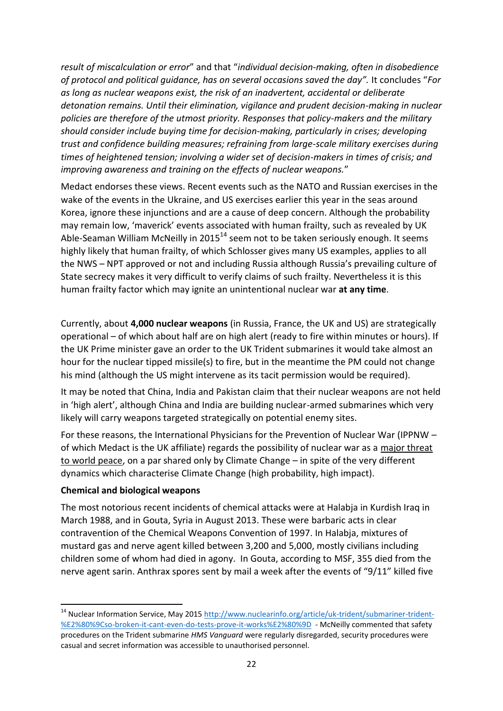*result of miscalculation or error*" and that "*individual decision-making, often in disobedience of protocol and political guidance, has on several occasions saved the day".* It concludes "*For as long as nuclear weapons exist, the risk of an inadvertent, accidental or deliberate detonation remains. Until their elimination, vigilance and prudent decision-making in nuclear policies are therefore of the utmost priority. Responses that policy-makers and the military should consider include buying time for decision-making, particularly in crises; developing trust and confidence building measures; refraining from large-scale military exercises during times of heightened tension; involving a wider set of decision-makers in times of crisis; and improving awareness and training on the effects of nuclear weapons.*"

Medact endorses these views. Recent events such as the NATO and Russian exercises in the wake of the events in the Ukraine, and US exercises earlier this year in the seas around Korea, ignore these injunctions and are a cause of deep concern. Although the probability may remain low, 'maverick' events associated with human frailty, such as revealed by UK Able-Seaman William McNeilly in 2015<sup>14</sup> seem not to be taken seriously enough. It seems highly likely that human frailty, of which Schlosser gives many US examples, applies to all the NWS – NPT approved or not and including Russia although Russia's prevailing culture of State secrecy makes it very difficult to verify claims of such frailty. Nevertheless it is this human frailty factor which may ignite an unintentional nuclear war **at any time**.

Currently, about **4,000 nuclear weapons** (in Russia, France, the UK and US) are strategically operational – of which about half are on high alert (ready to fire within minutes or hours). If the UK Prime minister gave an order to the UK Trident submarines it would take almost an hour for the nuclear tipped missile(s) to fire, but in the meantime the PM could not change his mind (although the US might intervene as its tacit permission would be required).

It may be noted that China, India and Pakistan claim that their nuclear weapons are not held in 'high alert', although China and India are building nuclear-armed submarines which very likely will carry weapons targeted strategically on potential enemy sites.

For these reasons, the International Physicians for the Prevention of Nuclear War (IPPNW – of which Medact is the UK affiliate) regards the possibility of nuclear war as a major threat to world peace, on a par shared only by Climate Change – in spite of the very different dynamics which characterise Climate Change (high probability, high impact).

#### **Chemical and biological weapons**

**.** 

The most notorious recent incidents of chemical attacks were at Halabja in Kurdish Iraq in March 1988, and in Gouta, Syria in August 2013. These were barbaric acts in clear contravention of the Chemical Weapons Convention of 1997. In Halabja, mixtures of mustard gas and nerve agent killed between 3,200 and 5,000, mostly civilians including children some of whom had died in agony. In Gouta, according to MSF, 355 died from the nerve agent sarin. Anthrax spores sent by mail a week after the events of "9/11" killed five

<sup>&</sup>lt;sup>14</sup> Nuclear Information Service, May 2015<http://www.nuclearinfo.org/article/uk-trident/submariner-trident-> [%E2%80%9Cso-broken-it-cant-even-do-tests-prove-it-works%E2%80%9D](http://www.nuclearinfo.org/article/uk-trident/submariner-trident-) - McNeilly commented that safety procedures on the Trident submarine *HMS Vanguard* were regularly disregarded, security procedures were casual and secret information was accessible to unauthorised personnel.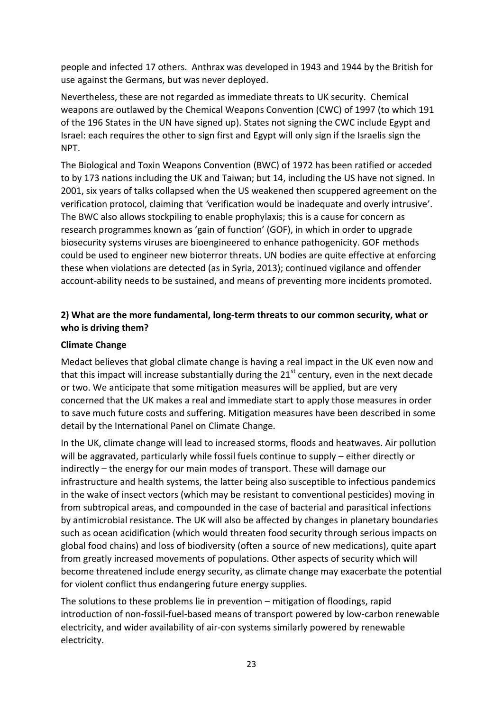people and infected 17 others. Anthrax was developed in 1943 and 1944 by the British for use against the Germans, but was never deployed.

Nevertheless, these are not regarded as immediate threats to UK security. Chemical weapons are outlawed by the Chemical Weapons Convention (CWC) of 1997 (to which 191 of the 196 States in the UN have signed up). States not signing the CWC include Egypt and Israel: each requires the other to sign first and Egypt will only sign if the Israelis sign the NPT.

The Biological and Toxin Weapons Convention (BWC) of 1972 has been ratified or acceded to by 173 nations including the UK and Taiwan; but 14, including the US have not signed. In 2001, six years of talks collapsed when the US weakened then scuppered agreement on the verification protocol, claiming that *'*verification would be inadequate and overly intrusive'. The BWC also allows stockpiling to enable prophylaxis; this is a cause for concern as research programmes known as 'gain of function' (GOF), in which in order to upgrade biosecurity systems viruses are bioengineered to enhance pathogenicity. GOF methods could be used to engineer new bioterror threats. UN bodies are quite effective at enforcing these when violations are detected (as in Syria, 2013); continued vigilance and offender account-ability needs to be sustained, and means of preventing more incidents promoted.

## **2) What are the more fundamental, long-term threats to our common security, what or who is driving them?**

#### **Climate Change**

Medact believes that global climate change is having a real impact in the UK even now and that this impact will increase substantially during the  $21<sup>st</sup>$  century, even in the next decade or two. We anticipate that some mitigation measures will be applied, but are very concerned that the UK makes a real and immediate start to apply those measures in order to save much future costs and suffering. Mitigation measures have been described in some detail by the International Panel on Climate Change.

In the UK, climate change will lead to increased storms, floods and heatwaves. Air pollution will be aggravated, particularly while fossil fuels continue to supply – either directly or indirectly – the energy for our main modes of transport. These will damage our infrastructure and health systems, the latter being also susceptible to infectious pandemics in the wake of insect vectors (which may be resistant to conventional pesticides) moving in from subtropical areas, and compounded in the case of bacterial and parasitical infections by antimicrobial resistance. The UK will also be affected by changes in planetary boundaries such as ocean acidification (which would threaten food security through serious impacts on global food chains) and loss of biodiversity (often a source of new medications), quite apart from greatly increased movements of populations. Other aspects of security which will become threatened include energy security, as climate change may exacerbate the potential for violent conflict thus endangering future energy supplies.

The solutions to these problems lie in prevention – mitigation of floodings, rapid introduction of non-fossil-fuel-based means of transport powered by low-carbon renewable electricity, and wider availability of air-con systems similarly powered by renewable electricity.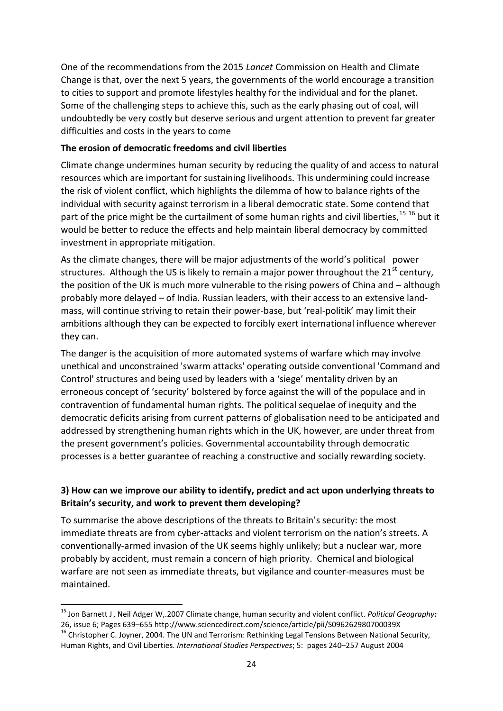One of the recommendations from the 2015 *Lancet* Commission on Health and Climate Change is that, over the next 5 years, the governments of the world encourage a transition to cities to support and promote lifestyles healthy for the individual and for the planet. Some of the challenging steps to achieve this, such as the early phasing out of coal, will undoubtedly be very costly but deserve serious and urgent attention to prevent far greater difficulties and costs in the years to come

#### **The erosion of democratic freedoms and civil liberties**

Climate change undermines human security by reducing the quality of and access to natural resources which are important for sustaining livelihoods. This undermining could increase the risk of violent conflict, which highlights the dilemma of how to balance rights of the individual with security against terrorism in a liberal democratic state. Some contend that part of the price might be the curtailment of some human rights and civil liberties, <sup>15 16</sup> but it would be better to reduce the effects and help maintain liberal democracy by committed investment in appropriate mitigation.

As the climate changes, there will be major adjustments of the world's political power structures. Although the US is likely to remain a major power throughout the  $21<sup>st</sup>$  century, the position of the UK is much more vulnerable to the rising powers of China and – although probably more delayed – of India. Russian leaders, with their access to an extensive landmass, will continue striving to retain their power-base, but 'real-politik' may limit their ambitions although they can be expected to forcibly exert international influence wherever they can.

The danger is the acquisition of more automated systems of warfare which may involve unethical and unconstrained 'swarm attacks' operating outside conventional 'Command and Control' structures and being used by leaders with a 'siege' mentality driven by an erroneous concept of 'security' bolstered by force against the will of the populace and in contravention of fundamental human rights. The political sequelae of inequity and the democratic deficits arising from current patterns of globalisation need to be anticipated and addressed by strengthening human rights which in the UK, however, are under threat from the present government's policies. Governmental accountability through democratic processes is a better guarantee of reaching a constructive and socially rewarding society.

#### **3) How can we improve our ability to identify, predict and act upon underlying threats to Britain's security, and work to prevent them developing?**

To summarise the above descriptions of the threats to Britain's security: the most immediate threats are from cyber-attacks and violent terrorism on the nation's streets. A conventionally-armed invasion of the UK seems highly unlikely; but a nuclear war, more probably by accident, must remain a concern of high priority. Chemical and biological warfare are not seen as immediate threats, but vigilance and counter-measures must be maintained.

**.** 

<sup>15</sup> [Jon Barnett](http://www.sciencedirect.com/science/article/pii/S096262980700039X) J, [Neil Adger](http://www.sciencedirect.com/science/article/pii/S096262980700039X) W,.2007 Climate change, human security and violent conflict. *[Political Geography](http://www.sciencedirect.com/science/journal/09626298)***:**  26, issue 6; Pages 639–655<http://www.sciencedirect.com/science/article/pii/S096262980700039X>

<sup>&</sup>lt;sup>16</sup> Christopher C. Joyner, 2004. The UN and Terrorism: Rethinking Legal Tensions Between National Security, Human Rights, and Civil Liberties. *International Studies Perspectives*; 5: pages 240–257 August 2004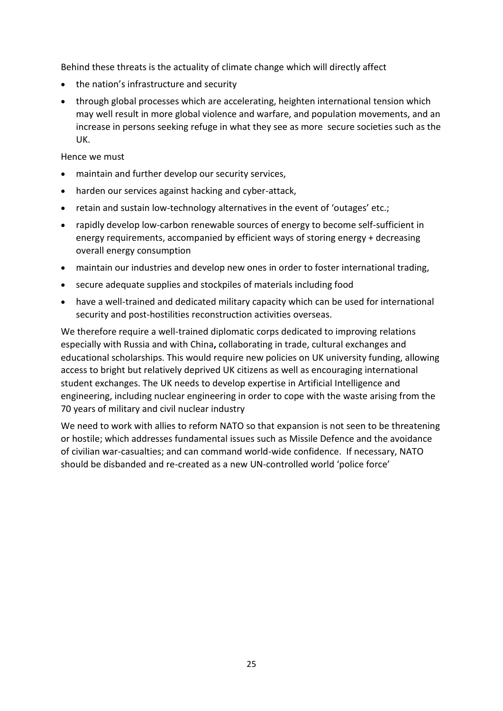Behind these threats is the actuality of climate change which will directly affect

- the nation's infrastructure and security
- through global processes which are accelerating, heighten international tension which may well result in more global violence and warfare, and population movements, and an increase in persons seeking refuge in what they see as more secure societies such as the UK.

Hence we must

- maintain and further develop our security services,
- harden our services against hacking and cyber-attack,
- retain and sustain low-technology alternatives in the event of 'outages' etc.;
- rapidly develop low-carbon renewable sources of energy to become self-sufficient in energy requirements, accompanied by efficient ways of storing energy + decreasing overall energy consumption
- maintain our industries and develop new ones in order to foster international trading,
- secure adequate supplies and stockpiles of materials including food
- have a well-trained and dedicated military capacity which can be used for international security and post-hostilities reconstruction activities overseas.

We therefore require a well-trained diplomatic corps dedicated to improving relations especially with Russia and with China**,** collaborating in trade, cultural exchanges and educational scholarships. This would require new policies on UK university funding, allowing access to bright but relatively deprived UK citizens as well as encouraging international student exchanges. The UK needs to develop expertise in Artificial Intelligence and engineering, including nuclear engineering in order to cope with the waste arising from the 70 years of military and civil nuclear industry

We need to work with allies to reform NATO so that expansion is not seen to be threatening or hostile; which addresses fundamental issues such as Missile Defence and the avoidance of civilian war-casualties; and can command world-wide confidence. If necessary, NATO should be disbanded and re-created as a new UN-controlled world 'police force'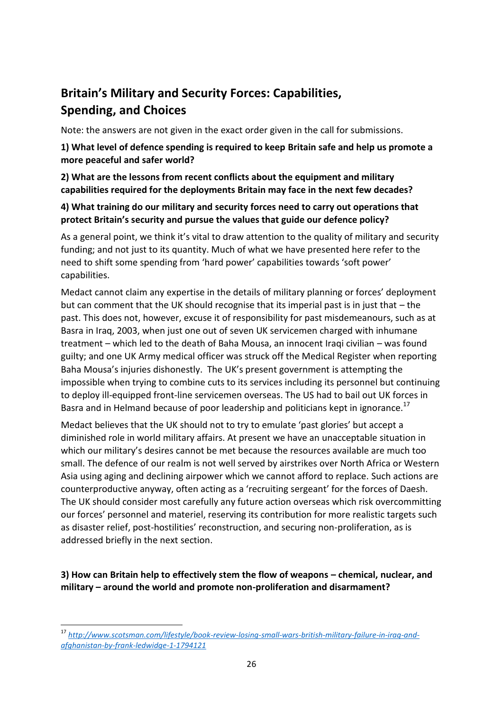# **Britain's Military and Security Forces: Capabilities, Spending, and Choices**

Note: the answers are not given in the exact order given in the call for submissions.

**1) What level of defence spending is required to keep Britain safe and help us promote a more peaceful and safer world?**

#### **2) What are the lessons from recent conflicts about the equipment and military capabilities required for the deployments Britain may face in the next few decades?**

#### **4) What training do our military and security forces need to carry out operations that protect Britain's security and pursue the values that guide our defence policy?**

As a general point, we think it's vital to draw attention to the quality of military and security funding; and not just to its quantity. Much of what we have presented here refer to the need to shift some spending from 'hard power' capabilities towards 'soft power' capabilities.

Medact cannot claim any expertise in the details of military planning or forces' deployment but can comment that the UK should recognise that its imperial past is in just that – the past. This does not, however, excuse it of responsibility for past misdemeanours, such as at Basra in Iraq, 2003, when just one out of seven UK servicemen charged with inhumane treatment – which led to the death of Baha Mousa, an innocent Iraqi civilian – was found guilty; and one UK Army medical officer was struck off the Medical Register when reporting Baha Mousa's injuries dishonestly. The UK's present government is attempting the impossible when trying to combine cuts to its services including its personnel but continuing to deploy ill-equipped front-line servicemen overseas. The US had to bail out UK forces in Basra and in Helmand because of poor leadership and politicians kept in ignorance.<sup>17</sup>

Medact believes that the UK should not to try to emulate 'past glories' but accept a diminished role in world military affairs. At present we have an unacceptable situation in which our military's desires cannot be met because the resources available are much too small. The defence of our realm is not well served by airstrikes over North Africa or Western Asia using aging and declining airpower which we cannot afford to replace. Such actions are counterproductive anyway, often acting as a 'recruiting sergeant' for the forces of Daesh. The UK should consider most carefully any future action overseas which risk overcommitting our forces' personnel and materiel, reserving its contribution for more realistic targets such as disaster relief, post-hostilities' reconstruction, and securing non-proliferation, as is addressed briefly in the next section.

**3) How can Britain help to effectively stem the flow of weapons – chemical, nuclear, and military – around the world and promote non-proliferation and disarmament?**

<sup>1</sup> <sup>17</sup> *[http://www.scotsman.com/lifestyle/book-review-losing-small-wars-british-military-failure-in-iraq-and](http://www.scotsman.com/lifestyle/book-review-losing-small-wars-british-military-failure-in-iraq-and-afghanistan-by-frank-ledwidge-1-1794121)[afghanistan-by-frank-ledwidge-1-1794121](http://www.scotsman.com/lifestyle/book-review-losing-small-wars-british-military-failure-in-iraq-and-afghanistan-by-frank-ledwidge-1-1794121)*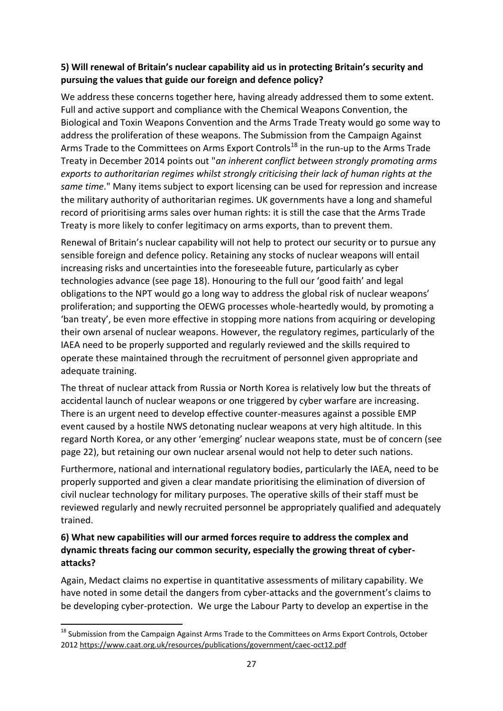## **5) Will renewal of Britain's nuclear capability aid us in protecting Britain's security and pursuing the values that guide our foreign and defence policy?**

We address these concerns together here, having already addressed them to some extent. Full and active support and compliance with the Chemical Weapons Convention, the Biological and Toxin Weapons Convention and the Arms Trade Treaty would go some way to address the proliferation of these weapons. The Submission from the Campaign Against Arms Trade to the Committees on Arms Export Controls<sup>18</sup> in the run-up to the Arms Trade Treaty in December 2014 points out "*an inherent conflict between strongly promoting arms exports to authoritarian regimes whilst strongly criticising their lack of human rights at the same time*." Many items subject to export licensing can be used for repression and increase the military authority of authoritarian regimes. UK governments have a long and shameful record of prioritising arms sales over human rights: it is still the case that the Arms Trade Treaty is more likely to confer legitimacy on arms exports, than to prevent them.

Renewal of Britain's nuclear capability will not help to protect our security or to pursue any sensible foreign and defence policy. Retaining any stocks of nuclear weapons will entail increasing risks and uncertainties into the foreseeable future, particularly as cyber technologies advance (see page 18). Honouring to the full our 'good faith' and legal obligations to the NPT would go a long way to address the global risk of nuclear weapons' proliferation; and supporting the OEWG processes whole-heartedly would, by promoting a 'ban treaty', be even more effective in stopping more nations from acquiring or developing their own arsenal of nuclear weapons. However, the regulatory regimes, particularly of the IAEA need to be properly supported and regularly reviewed and the skills required to operate these maintained through the recruitment of personnel given appropriate and adequate training.

The threat of nuclear attack from Russia or North Korea is relatively low but the threats of accidental launch of nuclear weapons or one triggered by cyber warfare are increasing. There is an urgent need to develop effective counter-measures against a possible EMP event caused by a hostile NWS detonating nuclear weapons at very high altitude. In this regard North Korea, or any other 'emerging' nuclear weapons state, must be of concern (see page 22), but retaining our own nuclear arsenal would not help to deter such nations.

Furthermore, national and international regulatory bodies, particularly the IAEA, need to be properly supported and given a clear mandate prioritising the elimination of diversion of civil nuclear technology for military purposes. The operative skills of their staff must be reviewed regularly and newly recruited personnel be appropriately qualified and adequately trained.

## **6) What new capabilities will our armed forces require to address the complex and dynamic threats facing our common security, especially the growing threat of cyberattacks?**

Again, Medact claims no expertise in quantitative assessments of military capability. We have noted in some detail the dangers from cyber-attacks and the government's claims to be developing cyber-protection. We urge the Labour Party to develop an expertise in the

**.** 

<sup>&</sup>lt;sup>18</sup> Submission from the Campaign Against Arms Trade to the Committees on Arms Export Controls, October 201[2 https://www.caat.org.uk/resources/publications/government/caec-oct12.pdf](https://www.caat.org.uk/resources/publications/government/caec-oct12.pdf)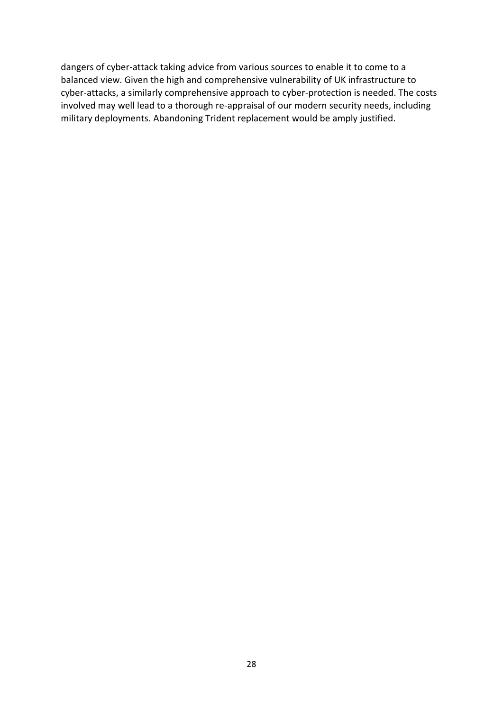dangers of cyber-attack taking advice from various sources to enable it to come to a balanced view. Given the high and comprehensive vulnerability of UK infrastructure to cyber-attacks, a similarly comprehensive approach to cyber-protection is needed. The costs involved may well lead to a thorough re-appraisal of our modern security needs, including military deployments. Abandoning Trident replacement would be amply justified.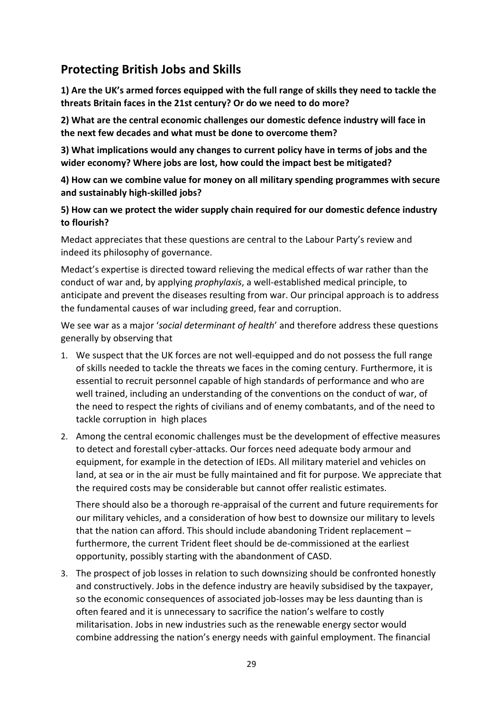# **Protecting British Jobs and Skills**

**1) Are the UK's armed forces equipped with the full range of skills they need to tackle the threats Britain faces in the 21st century? Or do we need to do more?** 

**2) What are the central economic challenges our domestic defence industry will face in the next few decades and what must be done to overcome them?** 

**3) What implications would any changes to current policy have in terms of jobs and the wider economy? Where jobs are lost, how could the impact best be mitigated?** 

**4) How can we combine value for money on all military spending programmes with secure and sustainably high-skilled jobs?** 

#### **5) How can we protect the wider supply chain required for our domestic defence industry to flourish?**

Medact appreciates that these questions are central to the Labour Party's review and indeed its philosophy of governance.

Medact's expertise is directed toward relieving the medical effects of war rather than the conduct of war and, by applying *prophylaxis*, a well-established medical principle, to anticipate and prevent the diseases resulting from war. Our principal approach is to address the fundamental causes of war including greed, fear and corruption.

We see war as a major '*social determinant of health*' and therefore address these questions generally by observing that

- 1. We suspect that the UK forces are not well-equipped and do not possess the full range of skills needed to tackle the threats we faces in the coming century. Furthermore, it is essential to recruit personnel capable of high standards of performance and who are well trained, including an understanding of the conventions on the conduct of war, of the need to respect the rights of civilians and of enemy combatants, and of the need to tackle corruption in high places
- 2. Among the central economic challenges must be the development of effective measures to detect and forestall cyber-attacks. Our forces need adequate body armour and equipment, for example in the detection of IEDs. All military materiel and vehicles on land, at sea or in the air must be fully maintained and fit for purpose. We appreciate that the required costs may be considerable but cannot offer realistic estimates.

There should also be a thorough re-appraisal of the current and future requirements for our military vehicles, and a consideration of how best to downsize our military to levels that the nation can afford. This should include abandoning Trident replacement – furthermore, the current Trident fleet should be de-commissioned at the earliest opportunity, possibly starting with the abandonment of CASD.

3. The prospect of job losses in relation to such downsizing should be confronted honestly and constructively. Jobs in the defence industry are heavily subsidised by the taxpayer, so the economic consequences of associated job-losses may be less daunting than is often feared and it is unnecessary to sacrifice the nation's welfare to costly militarisation. Jobs in new industries such as the renewable energy sector would combine addressing the nation's energy needs with gainful employment. The financial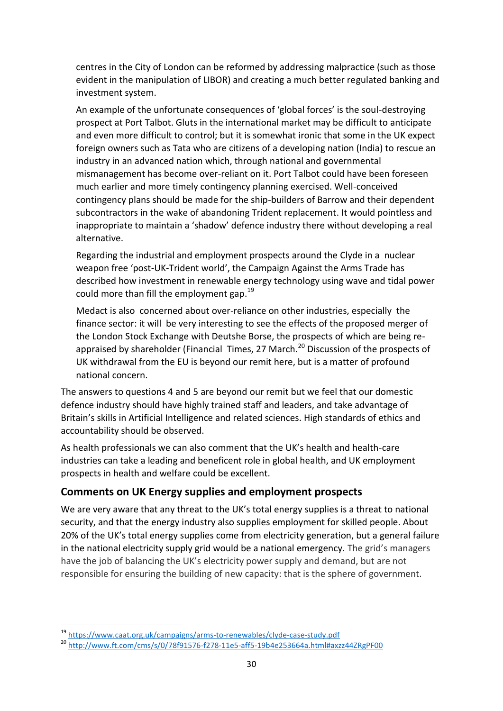centres in the City of London can be reformed by addressing malpractice (such as those evident in the manipulation of LIBOR) and creating a much better regulated banking and investment system.

An example of the unfortunate consequences of 'global forces' is the soul-destroying prospect at Port Talbot. Gluts in the international market may be difficult to anticipate and even more difficult to control; but it is somewhat ironic that some in the UK expect foreign owners such as Tata who are citizens of a developing nation (India) to rescue an industry in an advanced nation which, through national and governmental mismanagement has become over-reliant on it. Port Talbot could have been foreseen much earlier and more timely contingency planning exercised. Well-conceived contingency plans should be made for the ship-builders of Barrow and their dependent subcontractors in the wake of abandoning Trident replacement. It would pointless and inappropriate to maintain a 'shadow' defence industry there without developing a real alternative.

Regarding the industrial and employment prospects around the Clyde in a nuclear weapon free 'post-UK-Trident world', the Campaign Against the Arms Trade has described how investment in renewable energy technology using wave and tidal power could more than fill the employment gap.  $19<sup>19</sup>$ 

Medact is also concerned about over-reliance on other industries, especially the finance sector: it will be very interesting to see the effects of the proposed merger of the London Stock Exchange with Deutshe Borse, the prospects of which are being reappraised by shareholder (Financial Times, 27 March. $^{20}$  Discussion of the prospects of UK withdrawal from the EU is beyond our remit here, but is a matter of profound national concern.

The answers to questions 4 and 5 are beyond our remit but we feel that our domestic defence industry should have highly trained staff and leaders, and take advantage of Britain's skills in Artificial Intelligence and related sciences. High standards of ethics and accountability should be observed.

As health professionals we can also comment that the UK's health and health-care industries can take a leading and beneficent role in global health, and UK employment prospects in health and welfare could be excellent.

# **Comments on UK Energy supplies and employment prospects**

We are very aware that any threat to the UK's total energy supplies is a threat to national security, and that the energy industry also supplies employment for skilled people. About 20% of the UK's total energy supplies come from electricity generation, but a general failure in the national electricity supply grid would be a national emergency. The grid's managers have the job of balancing the UK's electricity power supply and demand, but are not responsible for ensuring the building of new capacity: that is the sphere of government.

<sup>1</sup> <sup>19</sup> <https://www.caat.org.uk/campaigns/arms-to-renewables/clyde-case-study.pdf>

<sup>20</sup> <http://www.ft.com/cms/s/0/78f91576-f278-11e5-aff5-19b4e253664a.html#axzz44ZRgPF00>